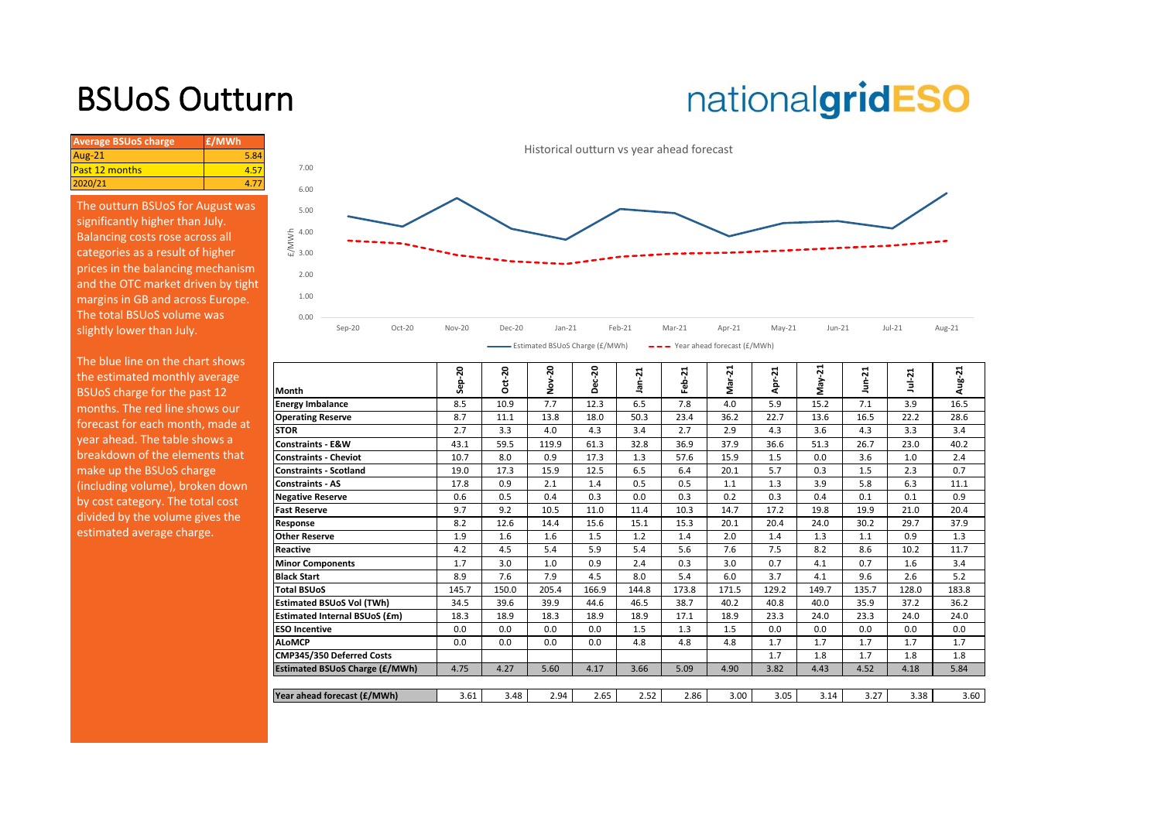## BSUoS Outturn

# nationalgridESO

| <b>Average BSUoS charge</b> | £/MWh |
|-----------------------------|-------|
| Aug-21                      |       |
| Past 12 months              |       |
| 2020/21                     |       |
|                             |       |

The outturn BSUoS for August was significantly higher than July. Balancing costs rose across all categories as a result of higher prices in the balancing mechanism and the OTC market driven by tight margins in GB and across Europe. The total BSUoS volume was slightly lower than July.

The blue line on the chart shows the estimated monthly average BSUoS charge for the past 12 months. The red line shows our forecast for each month, made at year ahead. The table shows a breakdown of the elements that make up the BSUoS charge (including volume), broken down by cost category. The total cost divided by the volume gives the estimated average charge.



|                                  |                                       |                  | ន     | ຊ     | ន     | $\blacksquare$ |         | ដ      |                     | ឆ     |          |        |        |
|----------------------------------|---------------------------------------|------------------|-------|-------|-------|----------------|---------|--------|---------------------|-------|----------|--------|--------|
| the estimated monthly average    |                                       | នុ<br><b>Sep</b> | ਚ     | š     | ပ္ထ   | $Jan-2$        | 21<br>흢 | غ<br>گ | $\overline{z}$<br>휵 | ō.    | $n - 21$ | Ñ<br>ŧ | Aug-21 |
| BSUoS charge for the past 12     | Month                                 |                  | o     | ż     | Δ     |                |         |        |                     | 5     | Ξ        |        |        |
| months. The red line shows our   | <b>Energy Imbalance</b>               | 8.5              | 10.9  | 7.7   | 12.3  | 6.5            | 7.8     | 4.0    | 5.9                 | 15.2  | 7.1      | 3.9    | 16.5   |
| forecast for each month, made at | <b>Operating Reserve</b>              | 8.7              | 11.1  | 13.8  | 18.0  | 50.3           | 23.4    | 36.2   | 22.7                | 13.6  | 16.5     | 22.2   | 28.6   |
|                                  | <b>STOR</b>                           | 2.7              | 3.3   | 4.0   | 4.3   | 3.4            | 2.7     | 2.9    | 4.3                 | 3.6   | 4.3      | 3.3    | 3.4    |
| year ahead. The table shows a    | <b>Constraints - E&amp;W</b>          | 43.1             | 59.5  | 119.9 | 61.3  | 32.8           | 36.9    | 37.9   | 36.6                | 51.3  | 26.7     | 23.0   | 40.2   |
| breakdown of the elements that   | <b>Constraints - Cheviot</b>          | 10.7             | 8.0   | 0.9   | 17.3  | 1.3            | 57.6    | 15.9   | 1.5                 | 0.0   | 3.6      | 1.0    | 2.4    |
| make up the BSUoS charge         | <b>Constraints - Scotland</b>         | 19.0             | 17.3  | 15.9  | 12.5  | 6.5            | 6.4     | 20.1   | 5.7                 | 0.3   | 1.5      | 2.3    | 0.7    |
| (including volume), broken down  | <b>Constraints - AS</b>               | 17.8             | 0.9   | 2.1   | 1.4   | 0.5            | 0.5     | 1.1    | 1.3                 | 3.9   | 5.8      | 6.3    | 11.1   |
| by cost category. The total cost | <b>Negative Reserve</b>               | 0.6              | 0.5   | 0.4   | 0.3   | 0.0            | 0.3     | 0.2    | 0.3                 | 0.4   | 0.1      | 0.1    | 0.9    |
| divided by the volume gives the  | <b>Fast Reserve</b>                   | 9.7              | 9.2   | 10.5  | 11.0  | 11.4           | 10.3    | 14.7   | 17.2                | 19.8  | 19.9     | 21.0   | 20.4   |
|                                  | Response                              | 8.2              | 12.6  | 14.4  | 15.6  | 15.1           | 15.3    | 20.1   | 20.4                | 24.0  | 30.2     | 29.7   | 37.9   |
| estimated average charge.        | <b>Other Reserve</b>                  | 1.9              | 1.6   | 1.6   | 1.5   | 1.2            | 1.4     | 2.0    | 1.4                 | 1.3   | 1.1      | 0.9    | 1.3    |
|                                  | Reactive                              | 4.2              | 4.5   | 5.4   | 5.9   | 5.4            | 5.6     | 7.6    | 7.5                 | 8.2   | 8.6      | 10.2   | 11.7   |
|                                  | <b>Minor Components</b>               | 1.7              | 3.0   | 1.0   | 0.9   | 2.4            | 0.3     | 3.0    | 0.7                 | 4.1   | 0.7      | 1.6    | 3.4    |
|                                  | <b>Black Start</b>                    | 8.9              | 7.6   | 7.9   | 4.5   | 8.0            | 5.4     | 6.0    | 3.7                 | 4.1   | 9.6      | 2.6    | 5.2    |
|                                  | <b>Total BSUoS</b>                    | 145.7            | 150.0 | 205.4 | 166.9 | 144.8          | 173.8   | 171.5  | 129.2               | 149.7 | 135.7    | 128.0  | 183.8  |
|                                  | <b>Estimated BSUoS Vol (TWh)</b>      | 34.5             | 39.6  | 39.9  | 44.6  | 46.5           | 38.7    | 40.2   | 40.8                | 40.0  | 35.9     | 37.2   | 36.2   |
|                                  | <b>Estimated Internal BSUoS (£m)</b>  | 18.3             | 18.9  | 18.3  | 18.9  | 18.9           | 17.1    | 18.9   | 23.3                | 24.0  | 23.3     | 24.0   | 24.0   |
|                                  | <b>ESO Incentive</b>                  | 0.0              | 0.0   | 0.0   | 0.0   | 1.5            | 1.3     | 1.5    | 0.0                 | 0.0   | 0.0      | 0.0    | 0.0    |
|                                  | <b>ALoMCP</b>                         | 0.0              | 0.0   | 0.0   | 0.0   | 4.8            | 4.8     | 4.8    | 1.7                 | 1.7   | 1.7      | 1.7    | 1.7    |
|                                  | CMP345/350 Deferred Costs             |                  |       |       |       |                |         |        | 1.7                 | 1.8   | 1.7      | 1.8    | 1.8    |
|                                  | <b>Estimated BSUoS Charge (£/MWh)</b> | 4.75             | 4.27  | 5.60  | 4.17  | 3.66           | 5.09    | 4.90   | 3.82                | 4.43  | 4.52     | 4.18   | 5.84   |
|                                  |                                       |                  |       |       |       |                |         |        |                     |       |          |        |        |
|                                  | Year ahead forecast (£/MWh)           | 3.61             | 3.48  | 2.94  | 2.65  | 2.52           | 2.86    | 3.00   | 3.05                | 3.14  | 3.27     | 3.38   | 3.60   |
|                                  |                                       |                  |       |       |       |                |         |        |                     |       |          |        |        |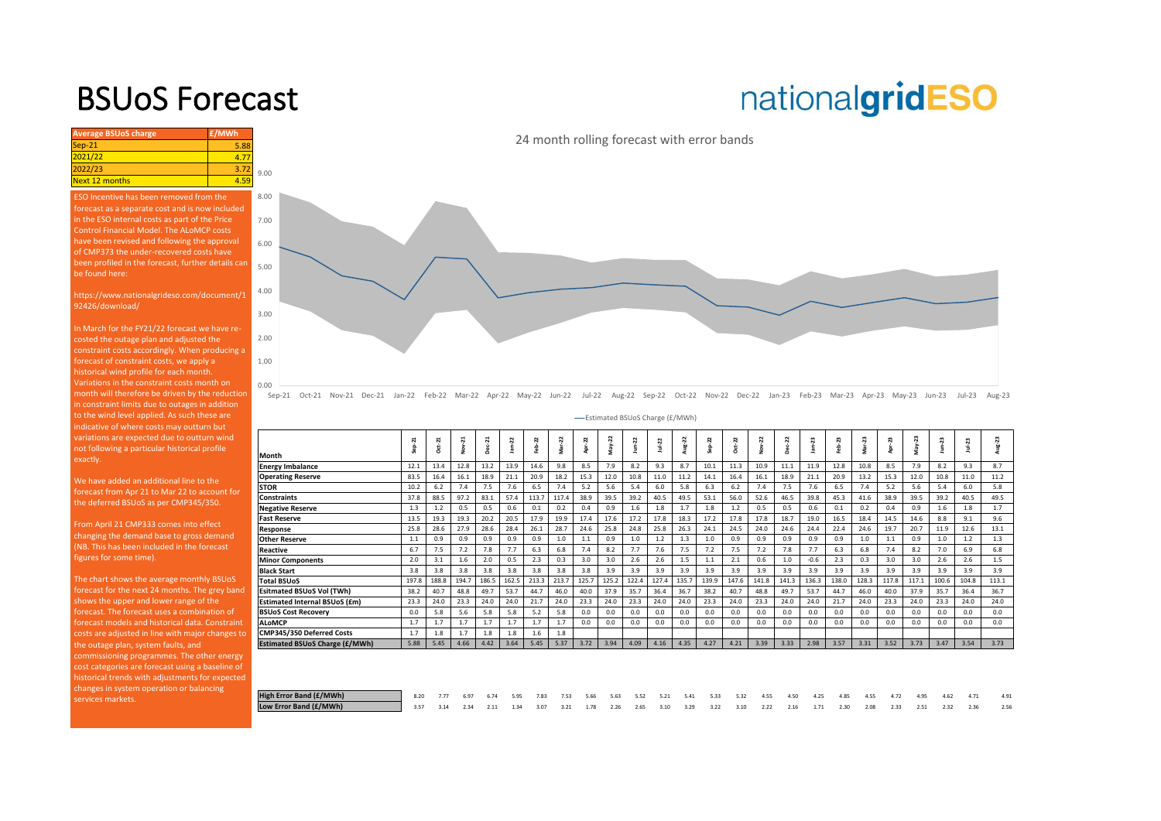### BSUoS Forecast

## nationalgridESO

| <b>Average BSUoS charge</b> | £/MWh |      |
|-----------------------------|-------|------|
| Sep-21                      | 5.88  |      |
| 2021/22                     | 4.77  |      |
| 2022/23                     | 3.72  | 9.00 |
| Next 12 months              | 4.59  |      |

ESO Incentive has been removed from the forecast as a separate cost and is now included in the ESO internal costs as part of the Price Control Financial Model. The ALoMCP costs have been revised and following the approval of CMP373 the under-recovered costs have [been profiled in the forecast, further details can](https://www.nationalgrideso.com/charging/balancing-services-use-system-bsuos-charges)  be found here:

https://www.nationalgrideso.com/document/1 92426/download/

In March for the FY21/22 forecast we have recosted the outage plan and adjusted the constraint costs accordingly. When producing a forecast of constraint costs, we apply a historical wind profile for each month. Variations in the constraint costs month on month will therefore be driven by the reduction in constraint limits due to outages in addition to the wind level applied. As such these are indicative of where costs may outturn but variations are expected due to outturn wind not following a particular historical profile exactly.

0.00 1.00 2.00 3.00 4.00 5.00 6.00 7.00 8.00

We have added an additional line to the forecast from Apr 21 to Mar 22 to account for the deferred BSUoS as per CMP345/350.

From April 21 CMP333 comes into effect changing the demand base to gross demand (NB. This has been included in the forecast figures for some time).

The chart shows the average monthly BSUoS forecast for the next 24 months. The grey band shows the upper and lower range of the forecast models and historical data. Constraint costs are adjusted in line with major changes to the outage plan, system faults, and commissioning programmes. The other energy cost categories are forecast using a baseline of historical trends with adjustments for expected changes in system operation or balancing services markets.

24 month rolling forecast with error bands

Sep-21 Oct-21 Nov-21 Dec-21 Jan-22 Feb-22 Mar-22 Apr-22 May-22 Jun-22 Jul-22 Aug-22 Sep-22 Oct-22 Nov-22 Dec-22 Jan-23 Feb-23 Mar-23 Apr-23 May-23 Jun-23 Jul-23 Aug-23

Estimated BSUoS Charge (£/MWh)

|                                       | ដ<br>훕 | Oct-21 | Nov-21 | $Dec-21$ | $Jan-22$ | eb-22 | Mar-22 | Apr-22 | $May-22$ | $J$ un- $22$ | $Ju + 22$ | Aug-22 | ep-22 | Oct-22 | Nov-22 | Dec-22 | Jan-23 | Feb-23 | Viar-23 | ನಿ<br>ğ | May-23 | 2     | $1u + 23$ | Aug-23 |
|---------------------------------------|--------|--------|--------|----------|----------|-------|--------|--------|----------|--------------|-----------|--------|-------|--------|--------|--------|--------|--------|---------|---------|--------|-------|-----------|--------|
| Month                                 |        |        |        |          |          |       |        |        |          |              |           |        |       |        |        |        |        |        |         |         |        |       |           |        |
| <b>Energy Imbalance</b>               | 12.1   | 13.4   | 12.8   | 13.2     | 13.9     | 14.6  | 9.8    | 8.5    | 7.9      | 8.2          | 9.3       | 8.7    | 10.1  | 11.3   | 10.9   | 11.1   | 11.9   | 12.8   | 10.8    | 8.5     | 7.9    | 8.2   | 9.3       | 8.7    |
| <b>Operating Reserve</b>              | 83.5   | 16.4   | 16.1   | 18.9     | 21.1     | 20.9  | 18.2   | 15.3   | 12.0     | 10.8         | 11.0      | 11.2   | 14.1  | 16.4   | 16.1   | 18.9   | 21.1   | 20.9   | 13.2    | 15.3    | 12.0   | 10.8  | 11.0      | 11.2   |
| <b>STOR</b>                           | 10.2   | 6.2    | 7.4    | 7.5      | 7.6      | 6.5   | 7.4    | 5.2    | 5.6      | 5.4          | 6.0       | 5.8    | 6.3   | 6.2    | 7.4    | 7.5    | 7.6    | 6.5    | 7.4     | 5.2     | 5.6    | 5.4   | 6.0       | 5.8    |
| <b>Constraints</b>                    | 37.8   | 88.5   | 97.2   | 83.1     | 57.4     | 113.7 | 117.4  | 38.9   | 39.5     | 39.2         | 40.5      | 49.5   | 53.1  | 56.0   | 52.6   | 46.5   | 39.8   | 45.3   | 41.6    | 38.9    | 39.5   | 39.2  | 40.5      | 49.5   |
| <b>Negative Reserve</b>               | 1.3    | 1.2    | 0.5    | 0.5      | 0.6      | 0.1   | 0.2    | 0.4    | 0.9      | 1.6          | 1.8       | 1.7    | 1.8   | 1.2    | 0.5    | 0.5    | 0.6    | 0.1    | 0.2     | 0.4     | 0.9    | 1.6   | 1.8       | 1.7    |
| <b>Fast Reserve</b>                   | 13.5   | 19.3   | 19.3   | 20.2     | 20.5     | 17.9  | 19.9   | 17.4   | 17.6     | 17.2         | 17.8      | 18.3   | 17.2  | 17.8   | 17.8   | 18.7   | 19.0   | 16.5   | 18.4    | 14.5    | 14.6   | 8.8   | 9.1       | 9.6    |
| Response                              | 25.8   | 28.6   | 27.9   | 28.6     | 28.4     | 26.1  | 28.7   | 24.6   | 25.8     | 24.8         | 25.8      | 26.3   | 24.1  | 24.5   | 24.0   | 24.6   | 24.4   | 22.4   | 24.6    | 19.7    | 20.7   | 11.9  | 12.6      | 13.1   |
| <b>Other Reserve</b>                  | 1.1    | 0.9    | 0.9    | 0.9      | 0.9      | 0.9   | 1.0    | 1.1    | 0.9      | 1.0          | 1.2       | 1.3    | 1.0   | 0.9    | 0.9    | 0.9    | 0.9    | 0.9    | 1.0     | 1.1     | 0.9    | 1.0   | 1.2       | 1.3    |
| Reactive                              | 6.7    | 7.5    | 7.2    | 7.8      | 7.7      | 6.3   | 6.8    | 7.4    | 8.2      | 7.7          | 7.6       | 7.5    | 7.2   | 7.5    | 7.2    | 7.8    | 7.7    | 6.3    | 6.8     | 7.4     | 8.2    | 7.0   | 6.9       | 6.8    |
| <b>Minor Components</b>               | 2.0    | 3.1    | 1.6    | 2.0      | 0.5      | 2.3   | 0.3    | 3.0    | 3.0      | 2.6          | 2.6       | 1.5    | 1.1   | 2.1    | 0.6    | 1.0    | $-0.6$ | 2.3    | 0.3     | 3.0     | 3.0    | 2.6   | 2.6       | 1.5    |
| <b>Black Start</b>                    | 3.8    | 3.8    | 3.8    | 3.8      | 3.8      | 3.8   | 3.8    | 3.8    | 3.9      | 3.9          | 3.9       | 3.9    | 3.9   | 3.9    | 3.9    | 3.9    | 3.9    | 3.9    | 3.9     | 3.9     | 3.9    | 3.9   | 3.9       | 3.9    |
| <b>Total BSUoS</b>                    | 197.8  | 188.8  | 194.7  | 186.5    | 162.5    | 213.3 | 213.7  | 125.7  | 125.2    | 122.4        | 127.4     | 135.7  | 139.9 | 147.6  | 141.8  | 141.3  | 136.3  | 138.0  | 128.3   | 117.8   | 117.1  | 100.6 | 104.8     | 113.1  |
| <b>Esitmated BSUoS Vol (TWh)</b>      | 38.2   | 40.7   | 48.8   | 49.7     | 53.7     | 44.7  | 46.0   | 40.0   | 37.9     | 35.7         | 36.4      | 36.7   | 38.2  | 40.7   | 48.8   | 49.7   | 53.7   | 44.7   | 46.0    | 40.0    | 37.9   | 35.7  | 36.4      | 36.7   |
| <b>Estimated Internal BSUoS (£m)</b>  | 23.3   | 24.0   | 23.3   | 24.0     | 24.0     | 21.7  | 24.0   | 23.3   | 24.0     | 23.3         | 24.0      | 24.0   | 23.3  | 24.0   | 23.3   | 24.0   | 24.0   | 21.7   | 24.0    | 23.3    | 24.0   | 23.3  | 24.0      | 24.0   |
| <b>BSUoS Cost Recoverv</b>            | 0.0    | 5.8    | 5.6    | 5.8      | 5.8      | 5.2   | 5.8    | 0.0    | 0.0      | 0.0          | 0.0       | 0.0    | 0.0   | 0.0    | 0.0    | 0.0    | 0.0    | 0.0    | 0.0     | 0.0     | 0.0    | 0.0   | 0.0       | 0.0    |
| <b>ALoMCP</b>                         | 1.7    | 1.7    | 1.7    | 1.7      | 1.7      | 1.7   | 1.7    | 0.0    | 0.0      | 0.0          | 0.0       | 0.0    | 0.0   | 0.0    | 0.0    | 0.0    | 0.0    | 0.0    | 0.0     | 0.0     | 0.0    | 0.0   | 0.0       | 0.0    |
| CMP345/350 Deferred Costs             | 1.7    | 1.8    | 1.7    | 1.8      | 1.8      | 1.6   | 1.8    |        |          |              |           |        |       |        |        |        |        |        |         |         |        |       |           |        |
| <b>Estimated BSUoS Charge (£/MWh)</b> | 5.88   | 5.45   | 4.66   | 4.42     | 3.64     | 5.45  | 5.37   | 3.72   | 3.94     | 4.09         | 4.16      | 4.35   | 4.27  | 4.21   | 3.39   | 3.33   | 2.98   | 3.57   | 3.31    | 3.52    | 3.73   | 3.47  | 3.54      | 3.73   |
|                                       |        |        |        |          |          |       |        |        |          |              |           |        |       |        |        |        |        |        |         |         |        |       |           |        |
|                                       |        |        |        |          |          |       |        |        |          |              |           |        |       |        |        |        |        |        |         |         |        |       |           |        |
|                                       |        |        |        |          |          |       |        |        |          |              |           |        |       |        |        |        |        |        |         |         |        |       |           |        |

| High Error Band (£/MWh) |                                                                                                                    |  |  |  |  |  |  | 8.20 7.77 6.97 6.74 5.95 7.83 7.53 5.66 5.63 5.52 5.21 5.41 5.33 5.32 4.55 4.50 4.25 4.85 4.55 4.72 4.95 4.62 4.71 |  |  |  |  | 4.91 |
|-------------------------|--------------------------------------------------------------------------------------------------------------------|--|--|--|--|--|--|--------------------------------------------------------------------------------------------------------------------|--|--|--|--|------|
| Low Error Band (£/MWh)  | 3.57 3.14 2.34 2.11 1.34 3.07 3.21 1.78 2.26 2.65 3.10 3.29 3.22 3.10 2.22 2.16 1.71 2.30 2.08 2.33 2.51 2.32 2.36 |  |  |  |  |  |  |                                                                                                                    |  |  |  |  | 2.56 |